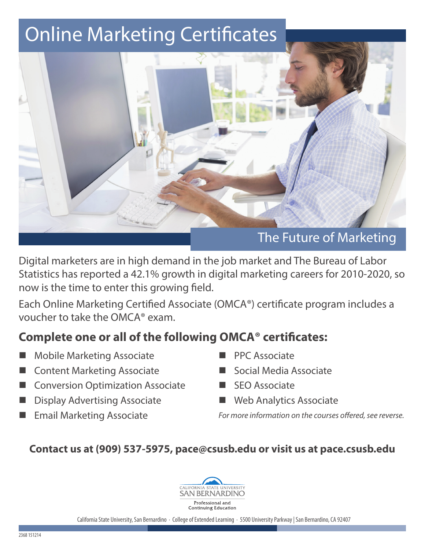# Online Marketing Certificates



Digital marketers are in high demand in the job market and The Bureau of Labor Statistics has reported a 42.1% growth in digital marketing careers for 2010-2020, so now is the time to enter this growing field.

Each Online Marketing Certified Associate (OMCA®) certificate program includes a voucher to take the OMCA® exam.

## **Complete one or all of the following OMCA® certificates:**

- **Mobile Marketing Associate**
- **Content Marketing Associate**
- **Conversion Optimization Associate**
- Display Advertising Associate
- **Email Marketing Associate**
- PPC Associate
- Social Media Associate
- **SEO Associate**
- $\blacksquare$  Web Analytics Associate

*For more information on the courses offered, see reverse.*

## **Contact us at (909) 537-5975, pace@csusb.edu or visit us at pace.csusb.edu**



California State University, San Bernardino · College of Extended Learning · 5500 University Parkway | San Bernardino, CA 92407